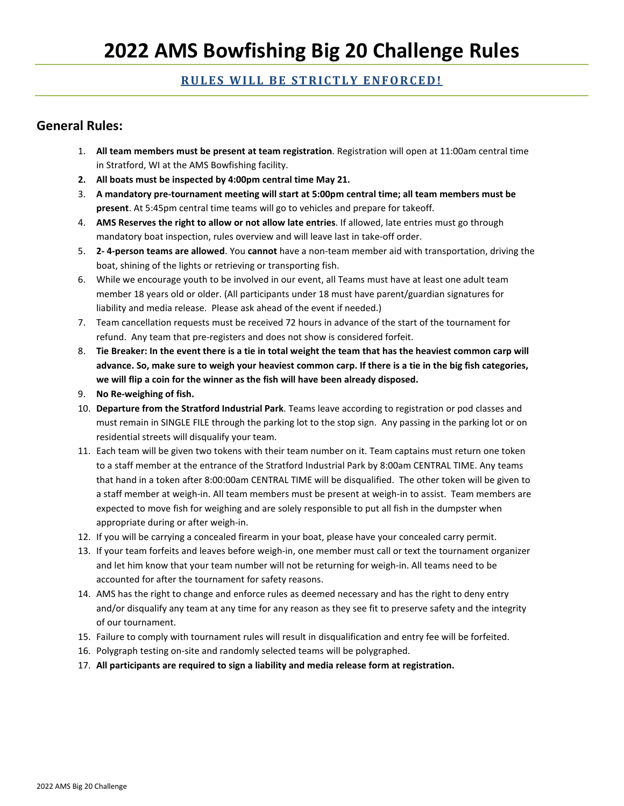#### **RULES WILL BE STRICTLY ENFORCED!**

#### **General Rules:**

- 1. **All team members must be present at team registration**. Registration will open at 11:00am central time in Stratford, WI at the AMS Bowfishing facility.
- **2. All boats must be inspected by 4:00pm central time May 21.**
- 3. **A mandatory pre-tournament meeting will start at 5:00pm central time; all team members must be present**. At 5:45pm central time teams will go to vehicles and prepare for takeoff.
- 4. **AMS Reserves the right to allow or not allow late entries**. If allowed, late entries must go through mandatory boat inspection, rules overview and will leave last in take-off order.
- 5. **2- 4-person teams are allowed**. You **cannot** have a non-team member aid with transportation, driving the boat, shining of the lights or retrieving or transporting fish.
- 6. While we encourage youth to be involved in our event, all Teams must have at least one adult team member 18 years old or older. (All participants under 18 must have parent/guardian signatures for liability and media release. Please ask ahead of the event if needed.)
- 7. Team cancellation requests must be received 72 hours in advance of the start of the tournament for refund. Any team that pre-registers and does not show is considered forfeit.
- 8. **Tie Breaker: In the event there is a tie in total weight the team that has the heaviest common carp will advance. So, make sure to weigh your heaviest common carp. If there is a tie in the big fish categories, we will flip a coin for the winner as the fish will have been already disposed.**
- 9. **No Re-weighing of fish.**
- 10. **Departure from the Stratford Industrial Park**. Teams leave according to registration or pod classes and must remain in SINGLE FILE through the parking lot to the stop sign. Any passing in the parking lot or on residential streets will disqualify your team.
- 11. Each team will be given two tokens with their team number on it. Team captains must return one token to a staff member at the entrance of the Stratford Industrial Park by 8:00am CENTRAL TIME. Any teams that hand in a token after 8:00:00am CENTRAL TIME will be disqualified. The other token will be given to a staff member at weigh-in. All team members must be present at weigh-in to assist. Team members are expected to move fish for weighing and are solely responsible to put all fish in the dumpster when appropriate during or after weigh-in.
- 12. If you will be carrying a concealed firearm in your boat, please have your concealed carry permit.
- 13. If your team forfeits and leaves before weigh-in, one member must call or text the tournament organizer and let him know that your team number will not be returning for weigh-in. All teams need to be accounted for after the tournament for safety reasons.
- 14. AMS has the right to change and enforce rules as deemed necessary and has the right to deny entry and/or disqualify any team at any time for any reason as they see fit to preserve safety and the integrity of our tournament.
- 15. Failure to comply with tournament rules will result in disqualification and entry fee will be forfeited.
- 16. Polygraph testing on-site and randomly selected teams will be polygraphed.
- 17. **All participants are required to sign a liability and media release form at registration.**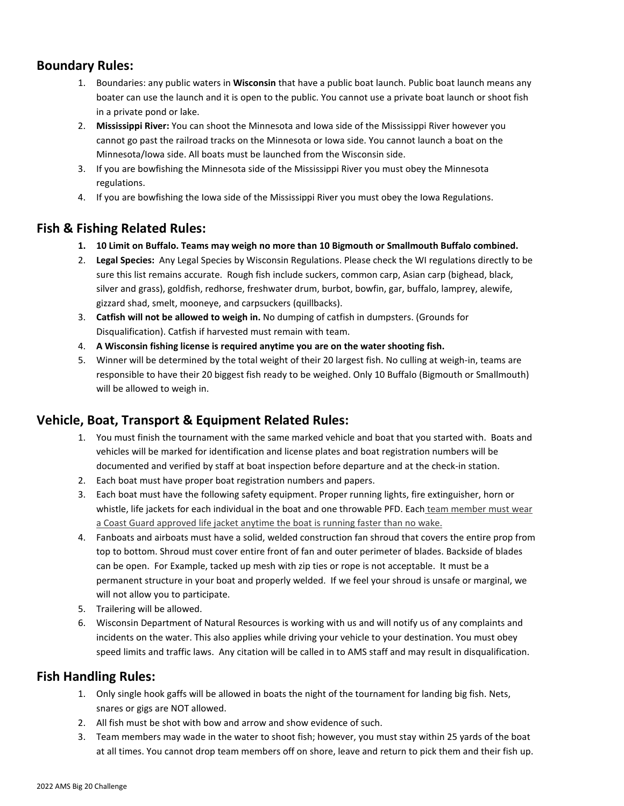## **Boundary Rules:**

- 1. Boundaries: any public waters in **Wisconsin** that have a public boat launch. Public boat launch means any boater can use the launch and it is open to the public. You cannot use a private boat launch or shoot fish in a private pond or lake.
- 2. **Mississippi River:** You can shoot the Minnesota and Iowa side of the Mississippi River however you cannot go past the railroad tracks on the Minnesota or Iowa side. You cannot launch a boat on the Minnesota/Iowa side. All boats must be launched from the Wisconsin side.
- 3. If you are bowfishing the Minnesota side of the Mississippi River you must obey the Minnesota regulations.
- 4. If you are bowfishing the Iowa side of the Mississippi River you must obey the Iowa Regulations.

## **Fish & Fishing Related Rules:**

- **1. 10 Limit on Buffalo. Teams may weigh no more than 10 Bigmouth or Smallmouth Buffalo combined.**
- 2. **Legal Species:** Any Legal Species by Wisconsin Regulations. Please check the WI regulations directly to be sure this list remains accurate. Rough fish include suckers, common carp, Asian carp (bighead, black, silver and grass), goldfish, redhorse, freshwater drum, burbot, bowfin, gar, buffalo, lamprey, alewife, gizzard shad, smelt, mooneye, and carpsuckers (quillbacks).
- 3. **Catfish will not be allowed to weigh in.** No dumping of catfish in dumpsters. (Grounds for Disqualification). Catfish if harvested must remain with team.
- 4. **A Wisconsin fishing license is required anytime you are on the water shooting fish.**
- 5. Winner will be determined by the total weight of their 20 largest fish. No culling at weigh-in, teams are responsible to have their 20 biggest fish ready to be weighed. Only 10 Buffalo (Bigmouth or Smallmouth) will be allowed to weigh in.

## **Vehicle, Boat, Transport & Equipment Related Rules:**

- 1. You must finish the tournament with the same marked vehicle and boat that you started with. Boats and vehicles will be marked for identification and license plates and boat registration numbers will be documented and verified by staff at boat inspection before departure and at the check-in station.
- 2. Each boat must have proper boat registration numbers and papers.
- 3. Each boat must have the following safety equipment. Proper running lights, fire extinguisher, horn or whistle, life jackets for each individual in the boat and one throwable PFD. Each team member must wear a Coast Guard approved life jacket anytime the boat is running faster than no wake.
- 4. Fanboats and airboats must have a solid, welded construction fan shroud that covers the entire prop from top to bottom. Shroud must cover entire front of fan and outer perimeter of blades. Backside of blades can be open. For Example, tacked up mesh with zip ties or rope is not acceptable. It must be a permanent structure in your boat and properly welded. If we feel your shroud is unsafe or marginal, we will not allow you to participate.
- 5. Trailering will be allowed.
- 6. Wisconsin Department of Natural Resources is working with us and will notify us of any complaints and incidents on the water. This also applies while driving your vehicle to your destination. You must obey speed limits and traffic laws. Any citation will be called in to AMS staff and may result in disqualification.

## **Fish Handling Rules:**

- 1. Only single hook gaffs will be allowed in boats the night of the tournament for landing big fish. Nets, snares or gigs are NOT allowed.
- 2. All fish must be shot with bow and arrow and show evidence of such.
- 3. Team members may wade in the water to shoot fish; however, you must stay within 25 yards of the boat at all times. You cannot drop team members off on shore, leave and return to pick them and their fish up.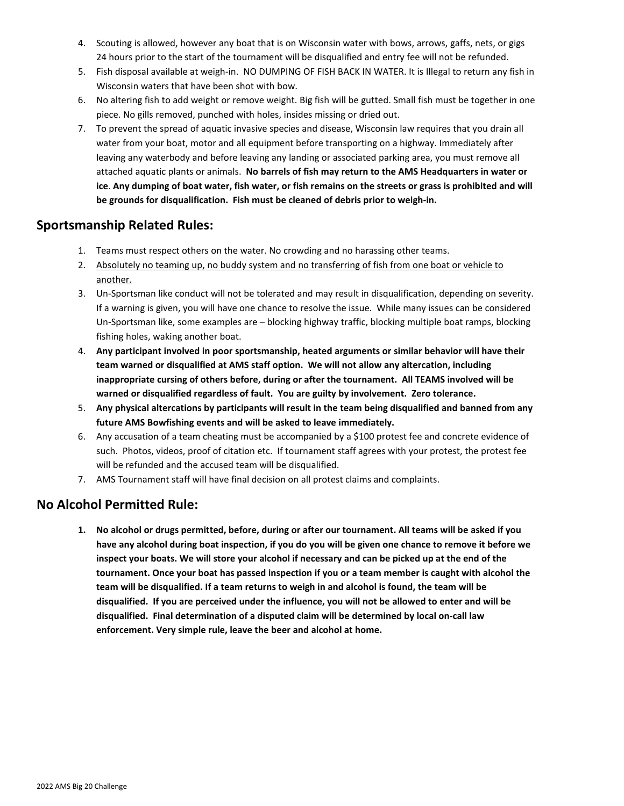- 4. Scouting is allowed, however any boat that is on Wisconsin water with bows, arrows, gaffs, nets, or gigs 24 hours prior to the start of the tournament will be disqualified and entry fee will not be refunded.
- 5. Fish disposal available at weigh-in. NO DUMPING OF FISH BACK IN WATER. It is Illegal to return any fish in Wisconsin waters that have been shot with bow.
- 6. No altering fish to add weight or remove weight. Big fish will be gutted. Small fish must be together in one piece. No gills removed, punched with holes, insides missing or dried out.
- 7. To prevent the spread of aquatic invasive species and disease, Wisconsin law requires that you drain all water from your boat, motor and all equipment before transporting on a highway. Immediately after leaving any waterbody and before leaving any landing or associated parking area, you must remove all attached aquatic plants or animals. **No barrels of fish may return to the AMS Headquarters in water or ice**. **Any dumping of boat water, fish water, or fish remains on the streets or grass is prohibited and will be grounds for disqualification. Fish must be cleaned of debris prior to weigh-in.**

#### **Sportsmanship Related Rules:**

- 1. Teams must respect others on the water. No crowding and no harassing other teams.
- 2. Absolutely no teaming up, no buddy system and no transferring of fish from one boat or vehicle to another.
- 3. Un-Sportsman like conduct will not be tolerated and may result in disqualification, depending on severity. If a warning is given, you will have one chance to resolve the issue. While many issues can be considered Un-Sportsman like, some examples are – blocking highway traffic, blocking multiple boat ramps, blocking fishing holes, waking another boat.
- 4. **Any participant involved in poor sportsmanship, heated arguments or similar behavior will have their team warned or disqualified at AMS staff option. We will not allow any altercation, including inappropriate cursing of others before, during or after the tournament. All TEAMS involved will be warned or disqualified regardless of fault. You are guilty by involvement. Zero tolerance.**
- 5. **Any physical altercations by participants will result in the team being disqualified and banned from any future AMS Bowfishing events and will be asked to leave immediately.**
- 6. Any accusation of a team cheating must be accompanied by a \$100 protest fee and concrete evidence of such. Photos, videos, proof of citation etc. If tournament staff agrees with your protest, the protest fee will be refunded and the accused team will be disqualified.
- 7. AMS Tournament staff will have final decision on all protest claims and complaints.

#### **No Alcohol Permitted Rule:**

**1. No alcohol or drugs permitted, before, during or after our tournament. All teams will be asked if you have any alcohol during boat inspection, if you do you will be given one chance to remove it before we inspect your boats. We will store your alcohol if necessary and can be picked up at the end of the tournament. Once your boat has passed inspection if you or a team member is caught with alcohol the team will be disqualified. If a team returns to weigh in and alcohol is found, the team will be disqualified. If you are perceived under the influence, you will not be allowed to enter and will be disqualified. Final determination of a disputed claim will be determined by local on-call law enforcement. Very simple rule, leave the beer and alcohol at home.**